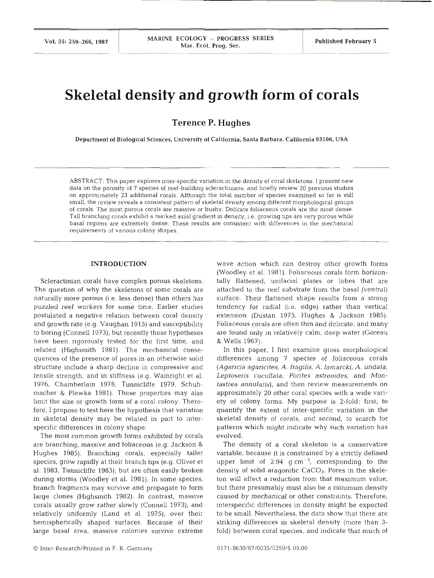# **Skeletal density and growth form of corals**

**Terence P. Hughes** 

Department of Biological Sciences, University of California. Santa Barbara, California **93 106.** USA

ABSTRACT: This paper explores inter-specific variation in the density of coral skeletons. I present new data on the porosity of 7 species of reef-building scleractinians, and briefly review 20 previous studies on approximately 23 additional corals. Although the total number of species examined so far is still small, the review reveals a consistent pattern of skeletal density among different morphological groups of corals. The most porous corals are massive or bushy. Delicate foliaceous corals are the most dense. Tall branching corals exhibit a marked axial gradient in density, i.e. growing tips are very porous while basal regions are extremely dense. These results are consistent with differences in the mechanical requirements of various colony shapes.

# **INTRODUCTION**

Scleractinian corals have complex porous skeletons. The question of why the skeletons of some corals are naturally more porous (i.e. less dense) than others has puzzled reef workers for some time. Earlier studies postulated a negative relation between coral density and growth rate (e.g. Vaughan 1915) and susceptibility to boring (Connell 1973), but recently these hypotheses have been rigorously tested for the first time, and refuted (Highsmith 1981). The mechanical consequences of the presence of pores in an otherwise solid structure include a sharp decline in compressive and tensile strength, and in stiffness (e.g. Wainright et al. 1976, Chamberlain 1978, Tunnicliffe 1979, Schuhmacher & Plewka 1981). These properties may also limit the size or growth form of a coral colony. Therefore, I propose to test here the hypothesis that variation in skeletal density may be related in part to interspecific differences in colony shape.

The most common growth forms exhibited by corals are branching, massive and foliaceous (e.g. Jackson & Hughes 1985). Branching corals, especially taller species, grow rapidly at their branch tips (e.g. Oliver et al. 1983, Tunnicliffe 1983), but are often easily broken during storms (Woodley et al. 1981). In some species, branch fragments may survive and propagate to form large clones (Highsmith 1982). In contrast, massive corals usually grow rather slowly (Connell 1973), and relatively uniformly (Land et al. 1975), over their hemispherically shaped surfaces. Because of their large basal area, massive colonies survive extreme

wave action which can destroy other growth forms (Woodley et al. 1981). Foliaceous corals form horizontally flattened, unifacial plates or lobes that are attached to the reef substrate from the basal (ventral) surface. Their flattened shape results from a strong tendency for radial (i.e. edge) rather than vertical extension (Dustan 1975, Hughes & Jackson 1985). Foliaceous corals are often thin and delicate, and many are found only in relatively calm, deep water (Goreau & Wells 1967).

In this paper, I first examine gross morphological differences among 7 species of foliaceous corals (Agaricia agaricites, A. fragilis, *A.* Iamarcki, A. undata, Leptoseris cucullata, Porites astreoides, and Montastrea annularis), and then review measurements on approximately 20 other coral species with a wide variety of colony forms. My purpose is 2-fold: first, to quantify the extent of inter-specific variation in the skeletal density of corals, and second, to search for patterns which might indicate why such variation has evolved.

The density of a coral skeleton is a conservative variable, because it is constrained by a strictly defined upper limit of 2.94  $\sigma$  cm<sup>-3</sup>, corresponding to the density of solid aragonitic CaCO<sub>3</sub>. Pores in the skeleton will effect a reduction from that maximum value, but there presumably must also be a minimum density caused by mechanical or other constraints. Therefore, interspecific differences in density might be expected to be small. Nevertheless, the data show that there are striking differences in skeletal density (more than 3 fold) between coral species, and indicate that much of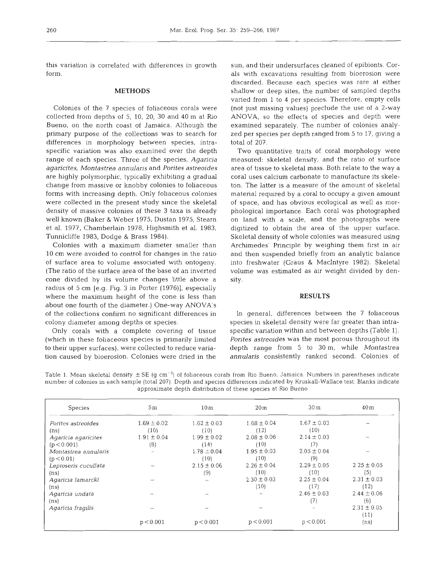this variation is correlated with differences in growth

# **METHODS**

Colonies of the 7 species of foliaceous corals were collected from depths of  $5$ ,  $10$ ,  $20$ ,  $30$  and  $40$  m at Rio Bueno, on the north coast of Jamaica. Although the primary purpose of the collections was to search for differences in morphology between species, intraspecific variation was also examined over the depth range of each species. Three of the species, Agaricia agaricites, Montastrea annulans and Porites astreoides are highly polymorphic, typically exhibiting a gradual change from massive or knobby colonies to foliaceous forms with increasing depth. Only foliaceous colonies were collected in the present study since the skeletal density of massive colonies of these **3** taxa is already well known (Baker & Weber 1975, Dustan 1975, Stearn et al. 1977, Chamberlain 1978, Highsmith et al. 1983, Tunnicliffe 1983, Dodge & Brass 1984).

Colonies with a maximum diameter smaller than 10 cm were avoided to control for changes in the ratio of surface area to volume associated with ontogeny. (The ratio of the surface area of the base of an inverted cone divided by its volume changes little above a radius of 5 cm [e.g. Fig. 3 in Porter (1976)], especially where the maximum height of the cone is less than about one fourth of the diameter.) One-way ANOVA's of the collections confirm no significant differences in colony diameter among depths or species.

Only corals with a complete covering of tissue (which in these foliaceous species is primarily limited to their upper surfaces), were collected to reduce variation caused by bioerosion. Colonies were dried in the sun, and their undersurfaces cleaned of epibionts. Corals with excavations resulting from bioerosion were discarded. Because each species was rare at either shallow or deep sites, the number of sampled depths varied from 1 to **4** per species. Therefore, empty cells (not just missing values) preclude the use of a 2-way ANOVA, so the effects of species and depth were examined separately. The number of colonies analyzed per species per depth ranged from 5 to 17, giving a total of 207.

Two quantitative traits of coral morphology were measured: skeletal density, and the ratio of surface area of tissue to skeletal mass. Both relate to the way a coral uses calcium carbonate to manufacture its skeleton. The latter is a measure of the amount of skeletal material required by a coral to occupy a given amount of space, and has obvious ecological as well as morphological importance. Each coral was photographed on land with a scale, and the photographs were digitized to obtain the area of the upper surface. Skeletal density of whole colonies was measured using Archimedes' Principle by weighing them first in air and then suspended briefly from an analytic balance into freshwater (Graus & MacIntyre 1982). Skeletal volume was estimated as air weight divided by den-

# **RESULTS**

In general, differences between the 7 foliaceous species in skeletal density were far greater than intraspecific variation within and between depths (Table 1). Porites astreoides was the most porous throughout its depth range from 5 to 30 m, while Montastrea annularis consistently ranked second. Colonies of

Table 1. Mean skeletal density  $\pm$  SE (g cm<sup>-3</sup>) of foliaceous corals from Rio Bueno, Jamaica. Numbers in parentheses indicate number of colonies in each sample (total 207). Depth and species differences indicated by Kruskall-Wallace test. Blanks indicate approximate depth distribution of these species at Rio Bueno

| Species              | 5m              | 10m             | 20 <sub>m</sub> | 30 <sub>m</sub> | 40m               |
|----------------------|-----------------|-----------------|-----------------|-----------------|-------------------|
| Porites astreoides   | $1.69 \pm 0.02$ | $1.62 \pm 0.03$ | $1.68 \pm 0.04$ | $1.67 \pm 0.03$ |                   |
| (n <sub>s</sub> )    | (10)            | (10)            | (12)            | (10)            |                   |
| Agaricia agaricites  | $1.91 \pm 0.04$ | $1.99 \pm 0.02$ | $2.08 \pm 0.06$ | $2.14 \pm 0.03$ |                   |
| (p < 0.001)          | (8)             | (14)            | (10)            | (7)             |                   |
| Montastrea annularis |                 | $1.78 \pm 0.04$ | $1.95 \pm 0.03$ | $2.05 \pm 0.04$ |                   |
| (p < 0.01)           |                 | (10)            | (10)            | (9)             |                   |
| Leptoseris cucullata | --              | $2.15 \pm 0.06$ | $2.26 \pm 0.04$ | $2.29 \pm 0.05$ | $2.25 \pm 0.05$   |
| (n <sub>s</sub> )    |                 | (9)             | (10)            | (10)            | (5)               |
| Agaricia lamarcki    | and a           |                 | $2.30 \pm 0.03$ | $2.25 \pm 0.04$ | $2.31 \pm 0.03$   |
| (n <sub>s</sub> )    |                 |                 | (10)            | (17)            | (12)              |
| Agaricia undata      |                 |                 |                 | $2.46 \pm 0.03$ | $2.44 \pm 0.06$   |
| (ns)                 |                 |                 |                 | 17              | (6)               |
| Agaricia fragilis    | --              |                 |                 |                 | $2.31 \pm 0.05$   |
|                      |                 |                 |                 |                 | (11)              |
|                      | p < 0.001       | p < 0.001       | p < 0.001       | p < 0.001       | (n <sub>s</sub> ) |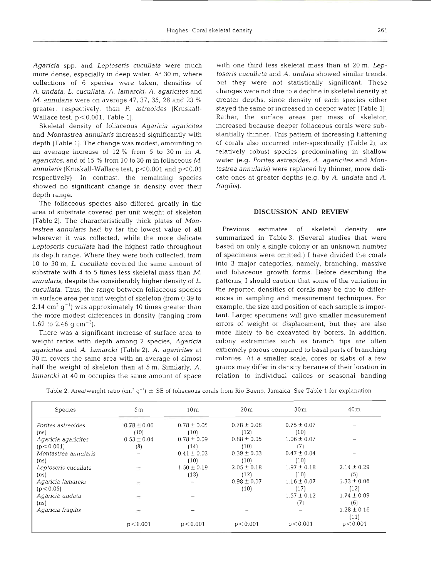Agaricia spp, and Leptoseris cucullata were much more dense, especially in deep water. At 30 m, where collections of 6 species were taken, densities of A. undata, L. cucullata, A. lamarcki, A. agaricites and M. annularis were on average  $47, 37, 35, 28$  and  $23\%$ greater, respectively, than P. astreoides (Kruskall-Wallace test,  $p < 0.001$ , Table 1).

Skeletal density of foliaceous Agaricia agaricites and Montastrea annularis increased significantly with depth (Table 1). The change was modest, amounting to an average increase of 12 % from 5 to 30 m in A. agaricites, and of 15 % from 10 to 30 m in foliaceous M. annularis (Kruskall-Wallace test,  $p < 0.001$  and  $p < 0.01$ respectively). In contrast, the remaining species showed no significant change in density over their depth range.

The foliaceous species also differed greatly in the area of substrate covered per unit weight of skeleton (Table 2). The characteristically thick plates of Montastrea annularis had by far the lowest value of all wherever it was collected, while the more delicate Leptoseris cucullata had the highest ratio throughout its depth range. Where they were both collected, from 10 to 30 m, L. cucullata covered the same amount of -substrate with 4 to 5 times less skeletal mass than  $M$ annularis, despite the considerably higher density of L. cucullata. Thus, the range between foliaceous species in surface area per unit weight of skeleton (from 0.39 to 2.14 cm<sup>2</sup> g<sup>-1</sup>) was approximately 10 times greater than the more modest differences in density (ranging from 1.62 to 2.46 g cm<sup>-3</sup>).

There was a significant increase of surface area to weight ratios with depth among 2 species, Agancia agaricites and A. lamarcki (Table 2). A. agaricites at 30 m covers the same area with an average of almost half the weight of skeleton than at 5 m. Similarly, A. lamarcki at 40 m occupies the same amount of space with one third less skeletal mass than at 20 m. Leptoseris cucullata and A. undata showed similar trends, but they were not statistically significant. These changes were not due to a decline in skeletal density at greater depths, since density of each species either stayed the same or increased in deeper water (Table 1). Rather, the surface areas per mass of skeleton increased because deeper foliaceous corals were substantially thinner. This pattern of increasing flattening of corals also occurred inter-specifically (Table 2), as relatively robust species predominating in shallow water (e.g. Pontes astreoides, A. agaricites and Montastrea annularis) were replaced by thinner, more delicate ones at greater depths (e.g. by A. undata and A. fragilis).

## **DISCUSSION AND REVIEW**

Previous estimates of skeletal density are summarized in Table 3. (Several studies that were based on only a single colony or an unknown number of specimens were omitted.) I have divided the corals into 3 major categories, namely, branching, massive and foliaceous growth forms. Before describing the patterns, I should caution that some of the variation in the reported densities of corals may be due to differences in sampling and measurement techniques. For example, the size and position of each sample is important. Larger specimens will give smaller measurement errors of weight or displacement, but they are also more likely to be excavated by borers. In addition, colony extremities such as branch tips are often extremely porous compared to basal parts of branching colonies. At a smaller scale, cores or slabs of a few grams may differ in density because of their location in relation to individual calices or seasonal banding

| Table 2. Area/weight ratio (cm <sup>2</sup> g <sup>-1</sup> ) $\pm$ SE of foliaceous corals from Rio Bueno, Jamaica. See Table 1 for explanation |  |  |  |  |  |  |  |  |  |
|--------------------------------------------------------------------------------------------------------------------------------------------------|--|--|--|--|--|--|--|--|--|
|--------------------------------------------------------------------------------------------------------------------------------------------------|--|--|--|--|--|--|--|--|--|

| <b>Species</b>       | 5m              | 10 <sub>m</sub> | 20 <sub>m</sub> | 30 <sub>m</sub> | 40m             |
|----------------------|-----------------|-----------------|-----------------|-----------------|-----------------|
| Porites astreoides   | $0.78 \pm 0.06$ | $0.78 \pm 0.05$ | $0.78 \pm 0.08$ | $0.75 \pm 0.07$ |                 |
| (n <sub>s</sub> )    | (10)            | (10)            | (12)            | (10)            |                 |
| Agaricia agaricites  | $0.53 \pm 0.04$ | $0.78 \pm 0.09$ | $0.88 \pm 0.05$ | $1.06 \pm 0.07$ |                 |
| (p < 0.001)          | (8)             | (14)            | (10)            | (7              |                 |
| Montastrea annularis |                 | $0.41 \pm 0.02$ | $0.39 \pm 0.03$ | $0.47 \pm 0.04$ |                 |
| (n <sub>s</sub> )    |                 | (10)            | (10)            | (10)            |                 |
| Leptoserís cucullata |                 | $1.50 \pm 0.19$ | $2.05 \pm 0.18$ | $1.97 \pm 0.18$ | $2.14 \pm 0.29$ |
| (n <sub>s</sub> )    |                 | (13)            | (12)            | (10)            | (5)             |
| Agaricia lamarcki    |                 |                 | $0.98 \pm 0.07$ | $1.16 \pm 0.07$ | $1.33 \pm 0.06$ |
| (p < 0.05)           |                 |                 | (10)            | (17)            | (12)            |
| Agaricia undata      |                 |                 |                 | $1.57 \pm 0.12$ | $1.74 \pm 0.09$ |
| (n <sub>s</sub> )    |                 |                 |                 | (7)             | (6)             |
| Agaricia fragilis    |                 |                 |                 |                 | $1.28 \pm 0.16$ |
|                      |                 |                 |                 |                 | (11)            |
|                      | p < 0.001       | p < 0.001       | p < 0.001       | p < 0.001       | p < 0.001       |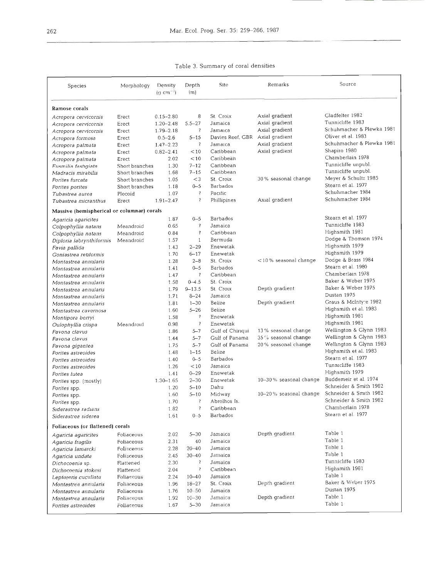Table 3. Summary of coral densities

| Species                                    | Morphology     | Density<br>$(q cm^{-3})$ | Depth<br>(m)             | Site             | Remarks                 | Source                    |  |
|--------------------------------------------|----------------|--------------------------|--------------------------|------------------|-------------------------|---------------------------|--|
| Ramose corals                              |                |                          |                          |                  |                         |                           |  |
| Acropora cervicornis                       | Erect          | $0.15 - 2.80$            | 8                        | St. Croix        | Axial gradient          | Gladfelter 1982           |  |
| Acropora cervicornis                       | Erect          | $1.20 - 2.48$            | $5.5 - 27$               | Jamaica          | Axial gradient          | Tunnicliffe 1983          |  |
| Acropora cervicornis                       | Erect          | $1.79 - 2.18$            | $\ddot{\zeta}$           | Jamaica          | Axial gradient          | Schuhmacher & Plewka 1981 |  |
| Acropora formosa                           | Erect          | $0.5 - 2.6$              | $5 - 15$                 | Davies Reef, GBR | Axial gradient          | Oliver et al. 1983        |  |
| Acropora palmata                           | Erect          | $1.47 - 2.23$            | ŝ                        | Jamaica          | Axial gradient          | Schuhmacher & Plewka 1981 |  |
| Acropora palmata                           | Erect          | $0.82 - 2.41$            | < 10                     | Caribbean        | Axial gradient          | Shapiro 1980              |  |
| Acropora palmata                           | Erect          | 2.02                     | < 10                     | Caribbean        |                         | Chamberlain 1978          |  |
| Eusmilia fastigiata                        | Short branches | 1.30                     | $7 - 12$                 | Caribbean        |                         | Tunnicliffe unpubl.       |  |
| Madracis mirabilis                         | Short branches | 1.68                     | $7 - 15$                 | Caribbean        |                         | Tunnicliffe unpubl.       |  |
| Porites furcata                            | Short branches | 1.05                     | $<$ 3                    | St. Croix        | 30 % seasonal change    | Meyer & Schultz 1985      |  |
| Porites porites                            | Short branches | 1.18                     | $0 - 5$                  | Barbados         |                         | Stearn et al. 1977        |  |
| Tubastrea aurea                            | Plocoid        | 1.07                     | $\ddot{\text{?}}$        | Pacific          |                         | Schuhmacher 1984          |  |
| Tubastrea micranthus                       | Erect          | $1.91 - 2.47$            | $\tilde{\mathcal{E}}$    | Phillipines      | Axial gradient          | Schuhmacher 1984          |  |
| Massive (hemispherical or columnar) corals |                |                          |                          |                  |                         |                           |  |
| Agaricia agaricites                        |                | 1.87                     | $0 - 5$                  | Barbados         |                         | Stearn et al. 1977        |  |
| Colpophyllia natans                        | Meandroid      | 0.65                     | ş                        | Jamaica          |                         | Tunnicliffe 1983          |  |
| Colpophyllia natans                        | Meandroid      | 0.84                     | <sup>2</sup>             | Caribbean        |                         | Highsmith 1981            |  |
| Diploria labrynthiformis                   | Meandroid      | 1.57                     | $\mathbf{1}$             | Bermuda          |                         | Dodge & Thomson 1974      |  |
| Favia pallida                              |                | 1.43                     | $2 - 29$                 | Enewetak         |                         | Highsmith 1979            |  |
| Goniastrea retiformis                      |                | 1.70                     | $6 - 17$                 | Enewetak         |                         | Highsmith 1979            |  |
| Montastrea annularis                       |                | 1.28                     | $2 - 8$                  | St. Croix        | $<$ 10% seasonal change | Dodge & Brass 1984        |  |
| Montastrea annularis                       |                | 1.41                     | $0 - 5$                  | Barbados         |                         | Stearn et al. 1980        |  |
| Montastrea annularis                       |                | 1.47                     | $\widetilde{\zeta}$      | Caribbean        |                         | Chamberlain 1978          |  |
| Montastrea annularis                       |                | 1.58                     | $0 - 4.5$                | St. Croix        |                         | Baker & Weber 1975        |  |
| Montastrea annularis                       |                | 1.79                     | $9 - 13.5$               | St. Croix        | Depth gradient          | Baker & Weber 1975        |  |
| Montastrea annularis                       |                | 1.71                     | $8 - 24$                 | Jamaica          |                         | Dustan 1975               |  |
| Montastrea annularis                       |                | 1.81                     | $1 - 30$                 | Belize           | Depth gradient          | Graus & McIntyre 1982     |  |
| Montastrea cavernosa                       |                | 1.60                     | $5 - 26$                 | Belize           |                         | Highsmith et al. 1983     |  |
| Montipora berryi                           |                | 1.58                     | $\sqrt{2}$               | Enewetak         |                         | Highsmith 1981            |  |
| Oulophyllia crispa                         | Meandroid      | 0.98                     | $\ddot{\mathcal{E}}$     | Enewetak         |                         | Highsmith 1981            |  |
| Pavona clavus                              |                | 1.86                     | $5 - 7$                  | Gulf of Chiriqui | 13 % seasonal change    | Wellington & Glynn 1983   |  |
| Pavona clavus                              |                | 1.44                     | $5 - 7$                  | Gulf of Panama   | 35% seasonal change     | Wellington & Glynn 1983   |  |
| Pavona gigantea                            |                | 1.75                     | $5 - 7$                  | Gulf of Panama   | 20% seasonal change     | Wellington & Glynn 1983   |  |
| Porites astreoides                         |                | 1.48                     | $1 - 15$                 | Belize           |                         | Highsmith et al. 1983     |  |
| Porites astreoides                         |                | 1.40                     | $0 - 5$                  | Barbados         |                         | Stearn et al. 1977        |  |
| Porites astreoides                         |                | 1.26                     | < 10                     | Jamaica          |                         | Tunnicliffe 1983          |  |
| Porites lutea                              |                | 1.41                     | $0 - 29$                 | Enewetak         |                         | Highsmith 1979            |  |
| Porites spp. (mostly)                      |                | $1.30 - 1.65$            | $2 - 30$                 | Enewetak         | 10-30% seasonal change  | Buddemeir et al. 1974     |  |
| Porites spp.                               |                | 1.20                     | $5 - 10$                 | Dahu             |                         | Schneider & Smith 1982    |  |
| Porites spp.                               |                | 1.60                     | $5 - 10$                 | Midway           | 10-20% seasonal change  | Schneider & Smith 1982    |  |
| Porites spp.                               |                | 1.70                     | Ş                        | Abrolhos Is.     |                         | Schneider & Smith 1982    |  |
| Siderastrea radians                        |                | 1.82                     | 3                        | Caribbean        |                         | Chamberlain 1978          |  |
| Siderastrea siderea                        |                | 1.61                     | $0 - 5$                  | Barbados         |                         | Stearn et al. 1977        |  |
| Foliaceous (or flattened) corals           |                |                          |                          |                  |                         |                           |  |
| Agaricia agaricites                        | Foliaceous     | 2.02                     | $5 - 30$                 | Jamaica          | Depth gradient          | Table 1                   |  |
| Agaricia fragilis                          | Foliaceous     | 2.31                     | 40                       | Jamaica          |                         | Table 1                   |  |
| Agaricia lamarcki                          | Foliaceous     | 2.28                     | $20 - 40$                | Jamaica          |                         | Table 1                   |  |
| Agaricia undata                            | Foliaceous     | 2.45                     | $30 - 40$                | Jamaica          |                         | Table 1                   |  |
| Dichocoenia sp.                            | Flattened      | 2.30                     | $\overline{\mathbf{c}}$  | Jamaica          |                         | Tunnicliffe 1983          |  |
| Dichocoenia stokesi                        | Flattened      | 2.04                     | $\overline{\mathcal{E}}$ | Caribbean        |                         | Highsmith 1981            |  |
| Leptoseris cucullata                       | Foliaceous     | 2.24                     | $10 - 40$                | Jamaica          |                         | Table 1                   |  |
| Montastrea annularis                       | Foliaceous     | 1.96                     | $18 - 27$                | St. Croix        | Depth gradient          | Baker & Weber 1975        |  |
| Montastrea annularis                       | Foliaceous     | 1.76                     | $10 - 50$                | Jamaica          |                         | Dustan 1975               |  |
| Montastrea annularis                       | Foliaceous     | 1.92                     | $10 - 30$                | Jamaica          | Depth gradient          | Table 1                   |  |
| Porites astreoides                         | Foliaceous     | 1.67                     | $5 - 30$                 | Jamaica          |                         | Table 1                   |  |
|                                            |                |                          |                          |                  |                         |                           |  |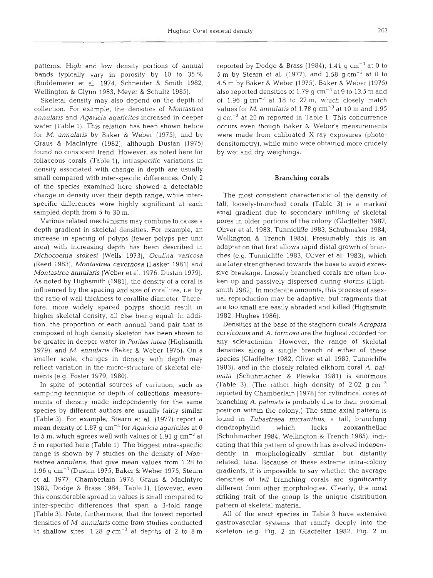patterns. High and low density portions of annual bands typically vary in porosity by 10 to 35 % (Buddemeier et al. 1974, Schneider & Smith 1982, Wellington & Glynn 1983, Meyer & Schultz 1985).

Skeletal density may also depend on the depth of collection. For example, the densities of *Montastrea annularis* and *Agaricia agaricjtes* increased in deeper water (Table 1). This relation has been shown before for *M. annulans* by Baker & Weber (1975), and by Graus & MacIntyre (1982), although Dustan (1975) found no consistent trend. However, as noted here for foliaceous corals (Table 1), intraspecific variations in density associated with change in depth are usually small compared with inter-specific differences. Only 2 of the species examined here showed a detectable change in density over their depth range, while interspecific differences were highly significant at each sampled depth from 5 to 30 m.

Various related mechanisms may combine to cause a depth gradient in skeletal densities. For example, an increase in spacing of polyps (fewer polyps per unit area) with increasing depth has been described in *Dichocoenia stokes1* (Wells 1973), *Oculina varicosa*  (Reed 1983), *Montastrea cavernosa* (Lasker 1981) and *Montastrea annularis* (Weber et al. 1976, Dustan 1979). As noted by fighsmith (1981), the density of a coral is influenced by the spacing and size of corallites, i.e. by the ratio of wall thickness to corallite diameter. Therefore, more widely spaced polyps should result in higher skeletal density, all else being equal. In addition, the proportion of each annual band pair that is composed of high density skeleton has been shown to be greater in deeper water in *Porjtes lutea* (Highsmith 1979), and M. *annularis* (Baker & Weber 1975). On *<sup>a</sup>* smaller scale, changes in density with depth may reflect variation in the micro-structure of skeletal elements (e.g. Foster 1979, 1980).

In spite of potential sources of variation, such as sampling technique or depth of collections, measurements of density made independently for the same species by different authors are usually fairly similar (Table **3).** For example, Stearn et al. (1977) report a mean density of 1.87 g cm-3 for *Agaricia agaricites* at 0 to 5 m, which agrees well with values of 1.91 g cm $^{-3}$  at 5 m reported here (Table 1). The biggest intra-specific range is shown by 7 studies on the density of *Montastrea annulans,* that give mean values from 1.28 to 1.96 g cm $^{-3}$  (Dustan 1975, Baker & Weber 1975, Stearn et al. 1977, Chamberlain 1978, Graus & MacIntyre 1982, Dodge & Brass 1984; Table 1). However, even this considerable spread in values is small compared to inter-specific differences that span a 3-fold range (Table 3). Note, furthermore, that the lowest reported densities of *M. annulans* come from studies conducted at shallow sites:  $1.28$  g cm<sup>-3</sup> at depths of 2 to 8 m reported by Dodge & Brass (1984), 1.41 g  $cm^{-3}$  at 0 to 5 m by Stearn et al. (1977), and 1.58  $g \text{ cm}^{-3}$  at 0 to 4.5 m by Baker & Weber (1975). Baker & Weber (1975) also reported densities of 1.79 g  $cm^{-3}$  at 9 to 13.5 m and of  $1.96$  g cm<sup>-3</sup> at 18 to 27 m, which closely match values for  $M$ . *annularis* of 1.78 g cm<sup>-3</sup> at 10 m and 1.95  $q$  cm<sup>-3</sup> at 20 m reported in Table 1. This concurrence occurs even though Baker & Weber's measurements were made from calibrated X-ray exposures (photodensitometry), while mine were obtained more crudely by wet and dry weighings.

# **Branching corals**

The most consistent characteristic of the density of tall, loosely-branched corals (Table 3) is a marked axial gradient due to secondary infilling of skeletal pores in older portions of the colony (Gladfelter 1982, Oliver et al. 1983, Tunnicliffe 1983, Schuhmaker 1984, Welhngton & Trench 1985). Presumably, this is an adaptation that first allows rapid distal growth of branches (e.g. Tunnicliffe 1983, Oliver et al. 1983), which are later strengthened towards the base to avoid excessive breakage. Loosely branched corals are often broken up and passively dispersed during storms (Highsmith 1982). In moderate amounts, this process of asexual reproduction may be adaptive, but fragments that are too small are easily abraded and killed (Highsmith 1982, Hughes 1986).

Densities at the base of the staghorn corals *Acropora cem'cornis* and *A, formosa* are the highest recorded for any scleractinian. However, the range of skeletal densities along a single branch of either of these species (Gladfelter 1982, Oliver et al. 1983, Tunnicliffe 1983), and in the closely related elkhorn coral *A.* pal*mata* (Schuhmacher & Plewka 1981) is enormous (Table 3). (The rather high density of 2.02 g cm<sup>-3</sup> reported by Chamberlain [l9781 for cylindrical cores of branching A. *palrnata* is probably due to their proximal position within the colony.) The same axial pattern is found in *Tubastraea micranthus*, a tall, branching dendrophyliid which lacks zooxanthellae (Schuhmacher 1984, Wellington & Trench 1985), indicating that this pattern of growth has evolved independently in morphologically similar, but distantly related, taxa. Because of these extreme intra-colony gradients, it is impossible to say whether the average densities of tall branching corals are significantly different from other morphologies. Clearly, the most striking trait of the group is the unique distribution pattern of skeletal material.

All of the erect species in Table 3 have extensive gastrovascular systems that ramify deeply into the skeleton (e.g. Fig. 2 in Gladfelter 1982, Fig. 2 in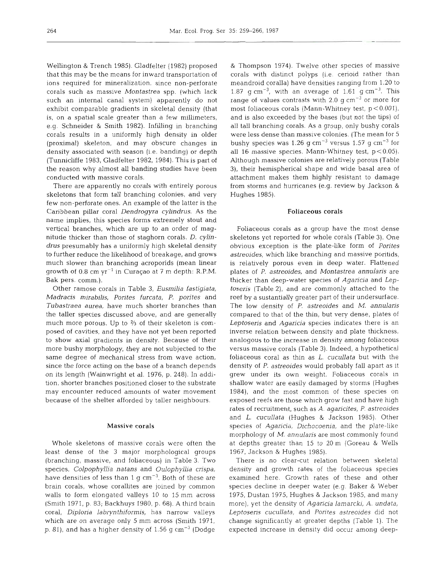Wellington & Trench 1985). Gladfelter (1982) proposed that this may be the means for inward transportation of ions required for mineralization, since non-perforate corals such as massive *Montastrea* spp. (which lack such an internal canal system) apparently do not exhibit comparable gradients in skeletal density (that is, on a spatial scale greater than a few millimeters, e.g. Schneider & Smith 1982). Infilling in branching corals results in a uniformly high density in older (proximal) skeleton, and may obscure changes in density associated with season (i.e. banding) or depth (Tunnicliffe 1983, Gladfelter 1982, 1984). This is part of the reason why almost all banding studies have been conducted with massive corals.

There are apparently no corals with entirely porous skeletons that form tall branching colonies, and very few non-perforate ones. An example of the latter is the Caribbean pillar coral *Dendrogyra cylindrus.* As the name implies, this species forms extremely stout and vertical branches, which are up to an order of magnitude thicker than those of staghorn corals. D. *cylindrus* presumably has a uniformly high skeletal density to further reduce the likelihood of breakage, and grows much slower than branching acroporids (mean linear growth of  $0.8$  cm  $yr^{-1}$  in Curaçao at 7 m depth: R.P.M. Bak pers. comm.).

Other ramose corals in Table **3,** *Eusmilia fastigiata, Madracis mirabilis, Pontes furcata, P. porites* and *Tubastraea aurea,* have much shorter branches than the taller species discussed above, and are generally much more porous. Up to **2/3** of their skeleton is composed of cavities, and they have not yet been reported to show axial gradients in density. Because of their more bushy morphology, they are not subjected to the same degree of mechanical stress from wave action, since the force acting on the base of a branch depends on its length (Wainwright et al. 1976, p. 248). In addition, shorter branches positioned closer to the substrate may encounter reduced amounts of water movement because of the shelter afforded by taller neighbours.

## Massive corals

Whole skeletons of massive corals were often the least dense of the 3 major morphological groups (branching, massive, and foliaceous) in Table **3.** Two species, *Colpophyllia natans* and *Oulophyllia crispa*, have densities of less than 1 g  $cm^{-3}$ . Both of these are brain corals, whose corallites are joined by common walls to form elongated valleys 10 to 15 mm across (Smith 1971, p. 83; Backhuys 1980, p. 68). **A** third brain coral, *Diplona labrynthiformis,* has narrow valleys which are on average only 5 mm across (Smith 1971, p. 81), and has a higher density of  $1.56$  g cm<sup>-3</sup> (Dodge

& Thompson 1974). Twelve other species of massive corals with distinct polyps (i.e, cerioid rather than meandroid coralla) have densities ranging from 1.20 to 1.87 g cm<sup>-3</sup>, with an average of 1.61 g cm<sup>-3</sup>. This range of values contrasts with 2.0 g  $cm^{-3}$  or more for most foliaceous corals (Mann-Whitney test, p < 0.001), and is also exceeded by the bases (but not the tips) of all tall branching corals. As a group, only bushy corals were less dense than massive colonies. (The mean for 5 bushy species was 1.26 g cm<sup>-3</sup> versus 1.57 g cm<sup>-3</sup> for all 16 massive species, Mann-Whitney test,  $p < 0.05$ ). Although massive colonies are relatively porous (Table 3), their hemispherical shape and wide basal area of attachment makes them highly resistant to damage from storms and hurricanes (e.g. review by Jackson & Hughes 1985).

## Foliaceous corals

Foliaceous corals as a group have the most dense skeletons yet reported for whole corals (Table 3). One obvious exception is the plate-like form of *Pontes astreoides,* which like branching and massive poritids, is relatively porous even in deep water. Flattened plates of P, *astreoides,* and *Montastrea annulans* are thicker than deep-water species of *Agaricia* and *Leptoseris* (Table 2), and are commonly attached to the reef by a sustantially greater part of their undersurface. The low density of *P. astreoides* and *M. annulans*  compared to that of the thin, but very dense, plates of *Leptosens* and *Agaricia* species indicates there is an inverse relation between density and plate thickness, analogous to the increase in density among foliaceous versus massive corals (Table 3). Indeed, a hypothetical foliaceous coral as thin as *L, cucullata* but with the density of *P. astreoides* would probably fall apart as it grew under its own weight. Foliaceous corals in shallow water are easily damaged by storms (Hughes 1984), and the most common of these species on exposed reefs are those which grow fast and have high rates of recruitment, such as A. *agancites, P. astreoides*  and *L. cucullata* (Hughes & Jackson 1985). Other species of *Agaricia, Dichocoenia,* and the plate-like morphology of *M. annularis* are most commonly found at depths greater than 15 to 20 m (Goreau & Wells 1967, Jackson & Hughes 1985).

There is no clear-cut relation between skeletal density and growth rates of the foliaceous species examined here. Growth rates of these and other species dechne in deeper water (e.g. Baker & Weber 1975, Dustan 1975, Hughes & Jackson 1985, and many more), yet the density of *Agaricia lamarcki,* A. *undata, Leptoseris cucullata,* and *Porites astreoides* did not change significantly at greater depths (Table 1). The expected increase in density did occur among deep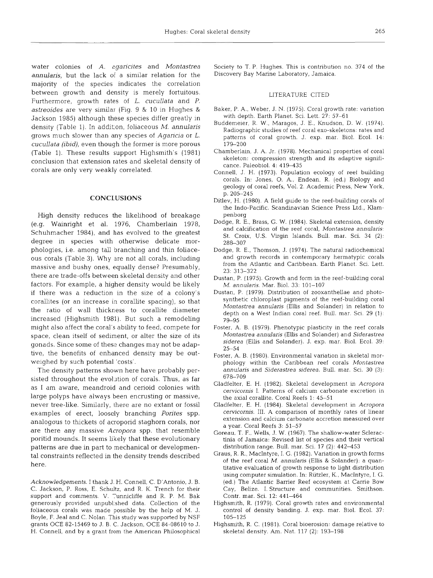water colonies of A. agaricites and Montastrea annularis, but the lack of a similar relation for the majority of the species indicates the correlation between growth and density is merely fortuitous. Furthermore, growth rates of L. cucullata and P. astreoides are very slmilar (Fig. 9 & 10 in Hughes & Jackson 1985) although these species differ greatly in density (Table 1). In addition, foliaceous M. annularis grows much slower than any species of Agancia or L. cucullata (ibid), even though the former is more porous (Table 1). These results support fighsmith's (1981) conclusion that extension rates and skeletal density of corals are only very weakly correlated.

#### **CONCLUSIONS**

High density reduces the likelihood of breakage (e.g. Wainnght et al. 1976, Chamberlain 1978, Schuhmacher 1984), and has evolved to the greatest degree in species with otherwise delicate morphologies, i.e. among tall branching and thin foliaceous corals (Table 3). Why are not all corals, including massive and bushy ones, equally dense? Presumably, there are trade-offs between skeletal density and other factors. For example, a higher density would be likely if there was a reduction in the size of a colony's corallites (or an increase in corallite spacing), so that the ratio of wall thickness to corallite diameter increased (Hlghsmith 1981). But such a remodeling might also affect the coral's ability to feed, compete for space, clean itself of sediment, or alter the size of its gonads. Since some of these changes may not be adaptive, the benefits of enhanced density may be outweighed by such potential 'costs'.

The density patterns shown here have probably persisted throughout the evolution of corals. Thus, as far as I am aware, meandroid and cenoid colonies with large polyps have always been encrusting or massive, never tree-like. Similarly, there are no extant or fossil examples of erect, loosely branching Porites spp. analogous to thickets of acroporid staghorn corals, nor are there any massive Acropora spp. that resemble poritid mounds. It seems likely that these evolutionary patterns are due in part to mechanical or developmental constraints reflected in the density trends described here.

Acknowledgements. I thank J. H. Connell, C. D'Antonio, J. B. C. Jackson, P. Ross, E. Schultz, and R. K. Trench for their support and comments. V. Tunnicliffe and R. P. M. Bak generously provided unpublished data. Collection of the foliaceous corals was made possible by the help of M. J. Boyle, F. Jeal and C. Nolan. This study was supported by NSF grants OCE 82-15469 to J. B. C. Jackson, OCE 84-08610 to J. H. Connell, and by a grant from the American Philosophical

Society to T. P. Hughes. This is contribution no. 374 of the Discovery Bay Marine Laboratory, Jamaica.

#### LITERATURE CITED

- Baker, P. A., Weber, J. N. (1975). Coral growth rate: variation with depth. Earth Planet. Sci. Lett. 27: 57-61
- Buddemeier, R. W., Maragos, J. E., Knudson, D. W. (1974). Radiographic studies of reef coral exo-skeletons: rates and patterns of coral growth. J. exp. mar. Biol. Ecol. 14: 179–200
- Chamberlam, J. A. Jr. (1978). Mechanical properties of coral skeleton: compression strength and its adaptive significance. Paleobiol. 4: 419–435
- Connell, J. H. (1973). Population ecology of reef budding corals. In: Jones, 0. A., Endean, R. (ed.) Biology and geology of coral reefs, Vol. 2. Academic Press, New York, p. 205-245
- Ditlev, H. (1980). A field guide to the reef-building corals of the Indo-Pacific. Scandinavian Science Press Ltd., Klampenborg
- Dodge, R. E., Brass, G. W. (1984). Skeletal extension, density and calcification of the reef coral, Montastrea annulans: St. Croix, U.S. Virgin Islands. Bull. mar. Sci. 34 (2): 288-307
- Dodge, R. E., Thomson, J. (1974). The natural radiochemical and growth records in contemporary hermatypic corals from the Atlantic and Caribbean. Earth Planet. Sci. Lett. 23: 313-322
- Dustan, P. (1975). Growth and form in the reef-building coral M. *annularis.* Mar. Biol. 33: 101–10
- Dustan, P. (1979). Distribution of zooxanthellae and photosynthetic chloroplast pigments of the reef-budding coral Montastrea annularis (Ellis and Solander) in relation to depth on a West Indian coral reef. Bull. mar. Sci. 29 (1): 79-95
- Foster, A. B. (1979). Phenotypic plasticity in the reef corals Montastrea annularis (Ellis and Solander) and Siderastrea siderea (Ellis and Solander). J. exp. mar. Biol. Ecol. 39: 25-54
- Foster, A. B. (1980). Environmental variation in skeletal morphology within the Canbbean reef corals Montastrea annularis and Siderastrea siderea. Bull. mar. Sci. 30 (3): 678-709
- Gladfelter, E. H. (1982). Skeletal development in Acropora cervicornis I. Patterns of calcium carbonate excretion in the axial corallite. Coral Reefs  $1: 45-5$
- Gladfelter, E. H. (1984). Skeletal development in Acropora cervicornis. 111. **A** comparison of monthly rates of linear extension and calcium carbonate accretion measured over a year. Coral Reefs **3:** 51-57
- Goreau, T. F., Wells, J. W. (1967). The shallow-water Scleractinia of Jamaica: Revised list of species and their vertical distribution range. Bull. mar. Sci. 17 $(2)$ : 442-453
- Graus, R. R., MacIntyre, I. G. (1982). Vanation in growth forms of the reef coral M. annulans (Ellis & Solander): a quantitative evaluation of growth response to light distribution using computer simulation. In: Riitzler, K., MacIntyre, I. G. (ed.) The Atlantic Barrier Reef ecosystem at Carrie Bow Cay, Belize. I. Structure and communities. Smithson. Contr. mar. Sci. 12: 441-464
- Highsmith, R. (1979). Coral growth rates and environmental control of density banding. J. exp. mar. Biol. Ecol. 37: 105-125
- Highsmith, R. C. (1981). Coral bioerosion: damage relative to skeletal density. Am. Nat. 117 (2): 193-198